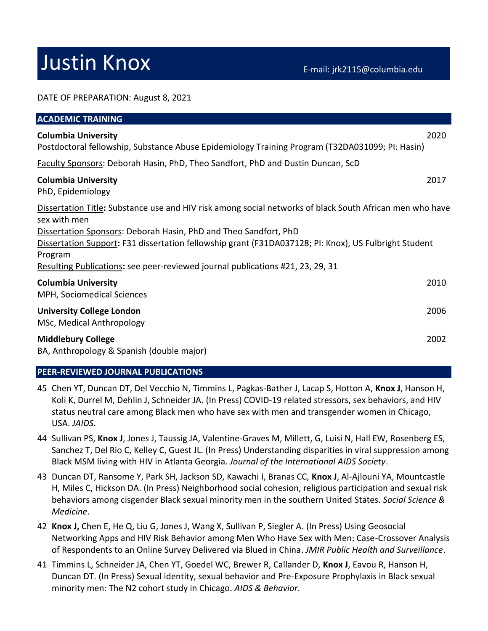# Justin Knox E-mail: jrk2115@columbia.edu

#### DATE OF PREPARATION: August 8, 2021

| <b>ACADEMIC TRAINING</b>                                                                                                                                                                                                                                                                                                                                                                           |      |
|----------------------------------------------------------------------------------------------------------------------------------------------------------------------------------------------------------------------------------------------------------------------------------------------------------------------------------------------------------------------------------------------------|------|
| <b>Columbia University</b><br>Postdoctoral fellowship, Substance Abuse Epidemiology Training Program (T32DA031099; PI: Hasin)                                                                                                                                                                                                                                                                      | 2020 |
| Faculty Sponsors: Deborah Hasin, PhD, Theo Sandfort, PhD and Dustin Duncan, ScD                                                                                                                                                                                                                                                                                                                    |      |
| <b>Columbia University</b><br>PhD, Epidemiology                                                                                                                                                                                                                                                                                                                                                    | 2017 |
| Dissertation Title: Substance use and HIV risk among social networks of black South African men who have<br>sex with men<br>Dissertation Sponsors: Deborah Hasin, PhD and Theo Sandfort, PhD<br>Dissertation Support: F31 dissertation fellowship grant (F31DA037128; PI: Knox), US Fulbright Student<br>Program<br>Resulting Publications: see peer-reviewed journal publications #21, 23, 29, 31 |      |
| <b>Columbia University</b><br>MPH, Sociomedical Sciences                                                                                                                                                                                                                                                                                                                                           | 2010 |
| <b>University College London</b><br>MSc, Medical Anthropology                                                                                                                                                                                                                                                                                                                                      | 2006 |
| <b>Middlebury College</b><br>BA, Anthropology & Spanish (double major)                                                                                                                                                                                                                                                                                                                             | 2002 |

#### **PEER-REVIEWED JOURNAL PUBLICATIONS**

- 45 Chen YT, Duncan DT, Del Vecchio N, Timmins L, Pagkas-Bather J, Lacap S, Hotton A, **Knox J**, Hanson H, Koli K, Durrel M, Dehlin J, Schneider JA. (In Press) COVID-19 related stressors, sex behaviors, and HIV status neutral care among Black men who have sex with men and transgender women in Chicago, USA. *JAIDS*.
- 44 Sullivan PS, **Knox J**, Jones J, Taussig JA, Valentine-Graves M, Millett, G, Luisi N, Hall EW, Rosenberg ES, Sanchez T, Del Rio C, Kelley C, Guest JL. (In Press) Understanding disparities in viral suppression among Black MSM living with HIV in Atlanta Georgia. *Journal of the International AIDS Society*.
- 43 Duncan DT, Ransome Y, Park SH, Jackson SD, Kawachi I, Branas CC, **Knox J**, Al-Ajlouni YA, Mountcastle H, Miles C, Hickson DA. (In Press) Neighborhood social cohesion, religious participation and sexual risk behaviors among cisgender Black sexual minority men in the southern United States. *Social Science & Medicine*.
- 42 **Knox J,** Chen E, He Q, Liu G, Jones J, Wang X, Sullivan P, Siegler A. (In Press) Using Geosocial Networking Apps and HIV Risk Behavior among Men Who Have Sex with Men: Case-Crossover Analysis of Respondents to an Online Survey Delivered via Blued in China. *JMIR Public Health and Surveillance*.
- 41 Timmins L, Schneider JA, Chen YT, Goedel WC, Brewer R, Callander D, **Knox J**, Eavou R, Hanson H, Duncan DT. (In Press) Sexual identity, sexual behavior and Pre-Exposure Prophylaxis in Black sexual minority men: The N2 cohort study in Chicago. *AIDS & Behavior*.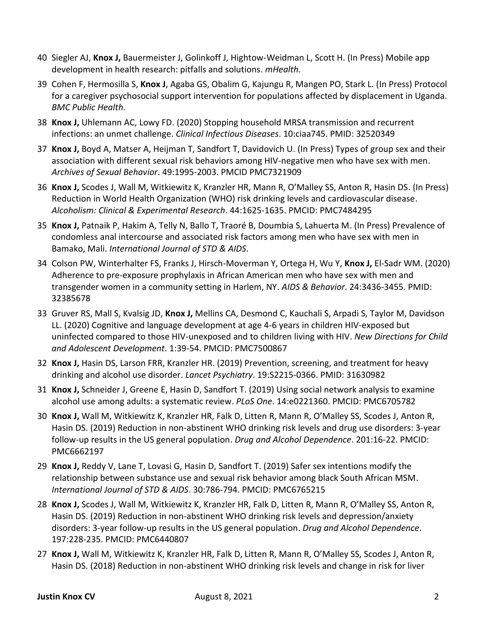- 40 Siegler AJ, **Knox J,** Bauermeister J, Golinkoff J, Hightow-Weidman L, Scott H. (In Press) Mobile app development in health research: pitfalls and solutions. *mHealth*.
- 39 Cohen F, Hermosilla S, **Knox J**, Agaba GS, Obalim G, Kajungu R, Mangen PO, Stark L. (In Press) Protocol for a caregiver psychosocial support intervention for populations affected by displacement in Uganda. *BMC Public Health*.
- 38 **Knox J,** Uhlemann AC, Lowy FD. (2020) Stopping household MRSA transmission and recurrent infections: an unmet challenge. *Clinical Infectious Diseases*. 10:ciaa745. PMID: 32520349
- 37 **Knox J,** Boyd A, Matser A, Heijman T, Sandfort T, Davidovich U. (In Press) Types of group sex and their association with different sexual risk behaviors among HIV-negative men who have sex with men. *Archives of Sexual Behavior*. 49:1995-2003. PMCID PMC7321909
- 36 **Knox J,** Scodes J, Wall M, Witkiewitz K, Kranzler HR, Mann R, O'Malley SS, Anton R, Hasin DS. (In Press) Reduction in World Health Organization (WHO) risk drinking levels and cardiovascular disease. *Alcoholism: Clinical & Experimental Research*. 44:1625-1635. PMCID: PMC7484295
- 35 **Knox J,** Patnaik P, Hakim A, Telly N, Ballo T, Traoré B, Doumbia S, Lahuerta M. (In Press) Prevalence of condomless anal intercourse and associated risk factors among men who have sex with men in Bamako, Mali. *International Journal of STD & AIDS*.
- 34 Colson PW, Winterhalter FS, Franks J, Hirsch-Moverman Y, Ortega H, Wu Y, **Knox J,** El-Sadr WM. (2020) Adherence to pre-exposure prophylaxis in African American men who have sex with men and transgender women in a community setting in Harlem, NY. *AIDS & Behavior*. 24:3436-3455. PMID: 32385678
- 33 Gruver RS, Mall S, Kvalsig JD, **Knox J,** Mellins CA, Desmond C, Kauchali S, Arpadi S, Taylor M, Davidson LL. (2020) Cognitive and language development at age 4-6 years in children HIV-exposed but uninfected compared to those HIV-unexposed and to children living with HIV. *New Directions for Child and Adolescent Development*. 1:39-54. PMCID: PMC7500867
- 32 **Knox J,** Hasin DS, Larson FRR, Kranzler HR. (2019) Prevention, screening, and treatment for heavy drinking and alcohol use disorder. *Lancet Psychiatry*. 19:S2215-0366. PMID: 31630982
- 31 **Knox J,** Schneider J, Greene E, Hasin D, Sandfort T. (2019) Using social network analysis to examine alcohol use among adults: a systematic review. *PLoS One*. 14:e0221360. PMCID: PMC6705782
- 30 **Knox J,** Wall M, Witkiewitz K, Kranzler HR, Falk D, Litten R, Mann R, O'Malley SS, Scodes J, Anton R, Hasin DS. (2019) Reduction in non-abstinent WHO drinking risk levels and drug use disorders: 3-year follow-up results in the US general population. *Drug and Alcohol Dependence*. 201:16-22. PMCID: PMC6662197
- 29 **Knox J,** Reddy V, Lane T, Lovasi G, Hasin D, Sandfort T. (2019) Safer sex intentions modify the relationship between substance use and sexual risk behavior among black South African MSM. *International Journal of STD & AIDS*. 30:786-794. PMCID: PMC6765215
- 28 **Knox J,** Scodes J, Wall M, Witkiewitz K, Kranzler HR, Falk D, Litten R, Mann R, O'Malley SS, Anton R, Hasin DS. (2019) Reduction in non-abstinent WHO drinking risk levels and depression/anxiety disorders: 3-year follow-up results in the US general population. *Drug and Alcohol Dependence*. 197:228-235. PMCID: PMC6440807
- 27 **Knox J,** Wall M, Witkiewitz K, Kranzler HR, Falk D, Litten R, Mann R, O'Malley SS, Scodes J, Anton R, Hasin DS. (2018) Reduction in non-abstinent WHO drinking risk levels and change in risk for liver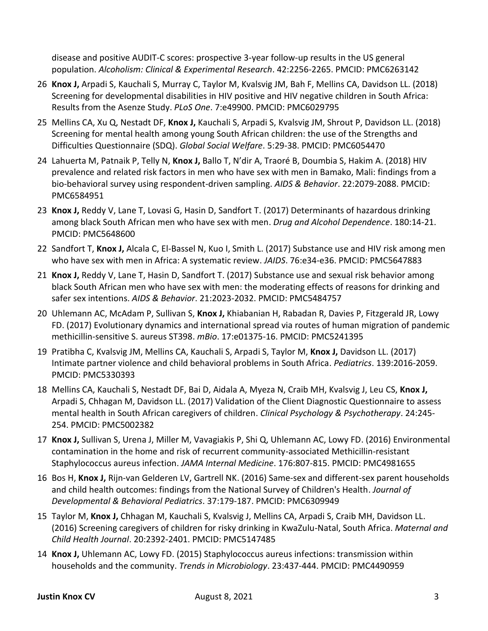disease and positive AUDIT-C scores: prospective 3-year follow-up results in the US general population. *Alcoholism: Clinical & Experimental Research*. 42:2256-2265. PMCID: PMC6263142

- 26 **Knox J,** Arpadi S, Kauchali S, Murray C, Taylor M, Kvalsvig JM, Bah F, Mellins CA, Davidson LL. (2018) Screening for developmental disabilities in HIV positive and HIV negative children in South Africa: Results from the Asenze Study. *PLoS One*. 7:e49900. PMCID: PMC6029795
- 25 Mellins CA, Xu Q, Nestadt DF, **Knox J,** Kauchali S, Arpadi S, Kvalsvig JM, Shrout P, Davidson LL. (2018) Screening for mental health among young South African children: the use of the Strengths and Difficulties Questionnaire (SDQ). *Global Social Welfare*. 5:29-38. PMCID: PMC6054470
- 24 Lahuerta M, Patnaik P, Telly N, **Knox J,** Ballo T, N'dir A, Traoré B, Doumbia S, Hakim A. (2018) HIV prevalence and related risk factors in men who have sex with men in Bamako, Mali: findings from a bio-behavioral survey using respondent-driven sampling. *AIDS & Behavior*. 22:2079-2088. PMCID: PMC6584951
- 23 **Knox J,** Reddy V, Lane T, Lovasi G, Hasin D, Sandfort T. (2017) Determinants of hazardous drinking among black South African men who have sex with men. *Drug and Alcohol Dependence*. 180:14-21. PMCID: PMC5648600
- 22 Sandfort T, **Knox J,** Alcala C, El-Bassel N, Kuo I, Smith L. (2017) Substance use and HIV risk among men who have sex with men in Africa: A systematic review. *JAIDS*. 76:e34-e36. PMCID: PMC5647883
- 21 **Knox J,** Reddy V, Lane T, Hasin D, Sandfort T. (2017) Substance use and sexual risk behavior among black South African men who have sex with men: the moderating effects of reasons for drinking and safer sex intentions. *AIDS & Behavior*. 21:2023-2032. PMCID: PMC5484757
- 20 Uhlemann AC, McAdam P, Sullivan S, **Knox J,** Khiabanian H, Rabadan R, Davies P, Fitzgerald JR, Lowy FD. (2017) Evolutionary dynamics and international spread via routes of human migration of pandemic methicillin-sensitive S. aureus ST398. *mBio*. 17:e01375-16. PMCID: PMC5241395
- 19 Pratibha C, Kvalsvig JM, Mellins CA, Kauchali S, Arpadi S, Taylor M, **Knox J,** Davidson LL. (2017) Intimate partner violence and child behavioral problems in South Africa. *Pediatrics*. 139:2016-2059. PMCID: PMC5330393
- 18 Mellins CA, Kauchali S, Nestadt DF, Bai D, Aidala A, Myeza N, Craib MH, Kvalsvig J, Leu CS, **Knox J,** Arpadi S, Chhagan M, Davidson LL. (2017) Validation of the Client Diagnostic Questionnaire to assess mental health in South African caregivers of children. *Clinical Psychology & Psychotherapy*. 24:245- 254. PMCID: PMC5002382
- 17 **Knox J,** Sullivan S, Urena J, Miller M, Vavagiakis P, Shi Q, Uhlemann AC, Lowy FD. (2016) Environmental contamination in the home and risk of recurrent community-associated Methicillin-resistant Staphylococcus aureus infection. *JAMA Internal Medicine*. 176:807-815. PMCID: PMC4981655
- 16 Bos H, **Knox J,** Rijn-van Gelderen LV, Gartrell NK. (2016) Same-sex and different-sex parent households and child health outcomes: findings from the National Survey of Children's Health. *Journal of Developmental & Behavioral Pediatrics*. 37:179-187. PMCID: PMC6309949
- 15 Taylor M, **Knox J,** Chhagan M, Kauchali S, Kvalsvig J, Mellins CA, Arpadi S, Craib MH, Davidson LL. (2016) Screening caregivers of children for risky drinking in KwaZulu-Natal, South Africa. *Maternal and Child Health Journal*. 20:2392-2401. PMCID: PMC5147485
- 14 **Knox J,** Uhlemann AC, Lowy FD. (2015) Staphylococcus aureus infections: transmission within households and the community. *Trends in Microbiology*. 23:437-444. PMCID: PMC4490959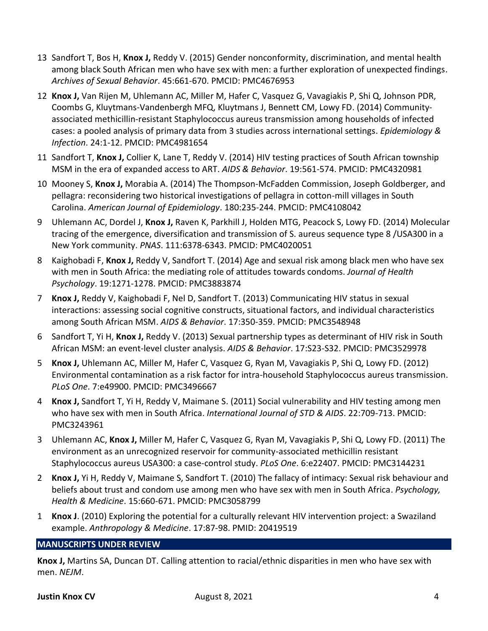- 13 Sandfort T, Bos H, **Knox J,** Reddy V. (2015) Gender nonconformity, discrimination, and mental health among black South African men who have sex with men: a further exploration of unexpected findings. *Archives of Sexual Behavior*. 45:661-670. PMCID: PMC4676953
- 12 **Knox J,** Van Rijen M, Uhlemann AC, Miller M, Hafer C, Vasquez G, Vavagiakis P, Shi Q, Johnson PDR, Coombs G, Kluytmans-Vandenbergh MFQ, Kluytmans J, Bennett CM, Lowy FD. (2014) Communityassociated methicillin-resistant Staphylococcus aureus transmission among households of infected cases: a pooled analysis of primary data from 3 studies across international settings. *Epidemiology & Infection*. 24:1-12. PMCID: PMC4981654
- 11 Sandfort T, **Knox J,** Collier K, Lane T, Reddy V. (2014) HIV testing practices of South African township MSM in the era of expanded access to ART. *AIDS & Behavior*. 19:561-574. PMCID: PMC4320981
- 10 Mooney S, **Knox J,** Morabia A. (2014) The Thompson-McFadden Commission, Joseph Goldberger, and pellagra: reconsidering two historical investigations of pellagra in cotton-mill villages in South Carolina. *American Journal of Epidemiology*. 180:235-244. PMCID: PMC4108042
- 9 Uhlemann AC, Dordel J, **Knox J,** Raven K, Parkhill J, Holden MTG, Peacock S, Lowy FD. (2014) Molecular tracing of the emergence, diversification and transmission of S. aureus sequence type 8 /USA300 in a New York community. *PNAS*. 111:6378-6343. PMCID: PMC4020051
- 8 Kaighobadi F, **Knox J,** Reddy V, Sandfort T. (2014) Age and sexual risk among black men who have sex with men in South Africa: the mediating role of attitudes towards condoms. *Journal of Health Psychology*. 19:1271-1278. PMCID: PMC3883874
- 7 **Knox J,** Reddy V, Kaighobadi F, Nel D, Sandfort T. (2013) Communicating HIV status in sexual interactions: assessing social cognitive constructs, situational factors, and individual characteristics among South African MSM. *AIDS & Behavior*. 17:350-359. PMCID: PMC3548948
- 6 Sandfort T, Yi H, **Knox J,** Reddy V. (2013) Sexual partnership types as determinant of HIV risk in South African MSM: an event-level cluster analysis. *AIDS & Behavior*. 17:S23-S32. PMCID: PMC3529978
- 5 **Knox J,** Uhlemann AC, Miller M, Hafer C, Vasquez G, Ryan M, Vavagiakis P, Shi Q, Lowy FD. (2012) Environmental contamination as a risk factor for intra-household Staphylococcus aureus transmission. *PLoS One*. 7:e49900. PMCID: PMC3496667
- 4 **Knox J,** Sandfort T, Yi H, Reddy V, Maimane S. (2011) Social vulnerability and HIV testing among men who have sex with men in South Africa. *International Journal of STD & AIDS*. 22:709-713. PMCID: PMC3243961
- 3 Uhlemann AC, **Knox J,** Miller M, Hafer C, Vasquez G, Ryan M, Vavagiakis P, Shi Q, Lowy FD. (2011) The environment as an unrecognized reservoir for community-associated methicillin resistant Staphylococcus aureus USA300: a case-control study. *PLoS One*. 6:e22407. PMCID: PMC3144231
- 2 **Knox J,** Yi H, Reddy V, Maimane S, Sandfort T. (2010) The fallacy of intimacy: Sexual risk behaviour and beliefs about trust and condom use among men who have sex with men in South Africa. *Psychology, Health & Medicine*. 15:660-671. PMCID: PMC3058799
- 1 **Knox J**. (2010) Exploring the potential for a culturally relevant HIV intervention project: a Swaziland example. *Anthropology & Medicine*. 17:87-98. PMID: 20419519

# **MANUSCRIPTS UNDER REVIEW**

**Knox J,** Martins SA, Duncan DT. Calling attention to racial/ethnic disparities in men who have sex with men. *NEJM*.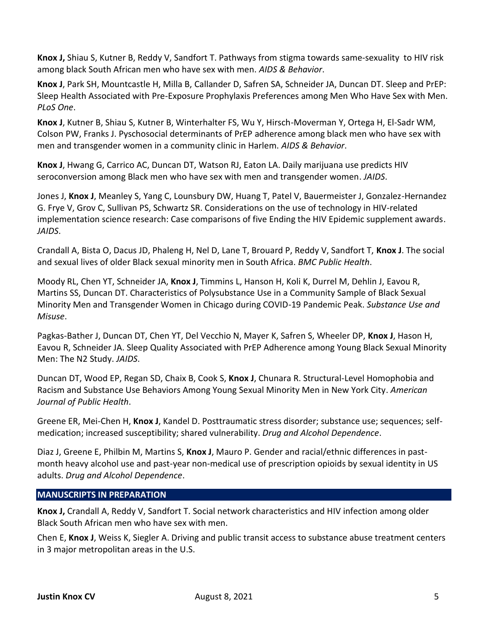**Knox J,** Shiau S, Kutner B, Reddy V, Sandfort T. Pathways from stigma towards same-sexuality to HIV risk among black South African men who have sex with men. *AIDS & Behavior*.

**Knox J**, Park SH, Mountcastle H, Milla B, Callander D, Safren SA, Schneider JA, Duncan DT. Sleep and PrEP: Sleep Health Associated with Pre-Exposure Prophylaxis Preferences among Men Who Have Sex with Men. *PLoS One*.

**Knox J**, Kutner B, Shiau S, Kutner B, Winterhalter FS, Wu Y, Hirsch-Moverman Y, Ortega H, El-Sadr WM, Colson PW, Franks J. Pyschosocial determinants of PrEP adherence among black men who have sex with men and transgender women in a community clinic in Harlem. *AIDS & Behavior*.

**Knox J**, Hwang G, Carrico AC, Duncan DT, Watson RJ, Eaton LA. Daily marijuana use predicts HIV seroconversion among Black men who have sex with men and transgender women. *JAIDS*.

Jones J, **Knox J**, Meanley S, Yang C, Lounsbury DW, Huang T, Patel V, Bauermeister J, Gonzalez-Hernandez G. Frye V, Grov C, Sullivan PS, Schwartz SR. Considerations on the use of technology in HIV-related implementation science research: Case comparisons of five Ending the HIV Epidemic supplement awards. *JAIDS*.

Crandall A, Bista O, Dacus JD, Phaleng H, Nel D, Lane T, Brouard P, Reddy V, Sandfort T, **Knox J**. The social and sexual lives of older Black sexual minority men in South Africa. *BMC Public Health*.

Moody RL, Chen YT, Schneider JA, **Knox J**, Timmins L, Hanson H, Koli K, Durrel M, Dehlin J, Eavou R, Martins SS, Duncan DT. Characteristics of Polysubstance Use in a Community Sample of Black Sexual Minority Men and Transgender Women in Chicago during COVID-19 Pandemic Peak. *Substance Use and Misuse*.

Pagkas-Bather J, Duncan DT, Chen YT, Del Vecchio N, Mayer K, Safren S, Wheeler DP, **Knox J**, Hason H, Eavou R, Schneider JA. Sleep Quality Associated with PrEP Adherence among Young Black Sexual Minority Men: The N2 Study. *JAIDS*.

Duncan DT, Wood EP, Regan SD, Chaix B, Cook S, **Knox J**, Chunara R. Structural-Level Homophobia and Racism and Substance Use Behaviors Among Young Sexual Minority Men in New York City. *American Journal of Public Health*.

Greene ER, Mei-Chen H, **Knox J**, Kandel D. Posttraumatic stress disorder; substance use; sequences; selfmedication; increased susceptibility; shared vulnerability. *Drug and Alcohol Dependence*.

Diaz J, Greene E, Philbin M, Martins S, **Knox J**, Mauro P. Gender and racial/ethnic differences in pastmonth heavy alcohol use and past-year non-medical use of prescription opioids by sexual identity in US adults. *Drug and Alcohol Dependence*.

# **MANUSCRIPTS IN PREPARATION**

**Knox J,** Crandall A, Reddy V, Sandfort T. Social network characteristics and HIV infection among older Black South African men who have sex with men.

Chen E, **Knox J**, Weiss K, Siegler A. Driving and public transit access to substance abuse treatment centers in 3 major metropolitan areas in the U.S.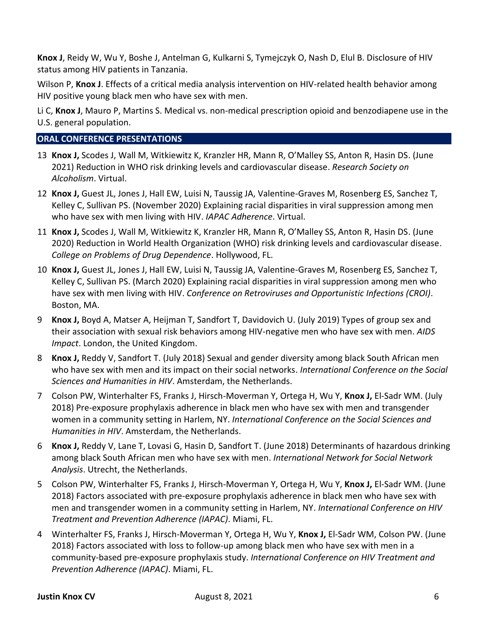**Knox J**, Reidy W, Wu Y, Boshe J, Antelman G, Kulkarni S, Tymejczyk O, Nash D, Elul B. Disclosure of HIV status among HIV patients in Tanzania.

Wilson P, **Knox J**. Effects of a critical media analysis intervention on HIV-related health behavior among HIV positive young black men who have sex with men.

Li C, **Knox J**, Mauro P, Martins S. Medical vs. non-medical prescription opioid and benzodiapene use in the U.S. general population.

#### **ORAL CONFERENCE PRESENTATIONS**

- 13 **Knox J,** Scodes J, Wall M, Witkiewitz K, Kranzler HR, Mann R, O'Malley SS, Anton R, Hasin DS. (June 2021) Reduction in WHO risk drinking levels and cardiovascular disease. *Research Society on Alcoholism*. Virtual.
- 12 **Knox J,** Guest JL, Jones J, Hall EW, Luisi N, Taussig JA, Valentine-Graves M, Rosenberg ES, Sanchez T, Kelley C, Sullivan PS. (November 2020) Explaining racial disparities in viral suppression among men who have sex with men living with HIV. *IAPAC Adherence*. Virtual.
- 11 **Knox J,** Scodes J, Wall M, Witkiewitz K, Kranzler HR, Mann R, O'Malley SS, Anton R, Hasin DS. (June 2020) Reduction in World Health Organization (WHO) risk drinking levels and cardiovascular disease. *College on Problems of Drug Dependence*. Hollywood, FL.
- 10 **Knox J,** Guest JL, Jones J, Hall EW, Luisi N, Taussig JA, Valentine-Graves M, Rosenberg ES, Sanchez T, Kelley C, Sullivan PS. (March 2020) Explaining racial disparities in viral suppression among men who have sex with men living with HIV. *Conference on Retroviruses and Opportunistic Infections (CROI)*. Boston, MA.
- 9 **Knox J,** Boyd A, Matser A, Heijman T, Sandfort T, Davidovich U. (July 2019) Types of group sex and their association with sexual risk behaviors among HIV-negative men who have sex with men. *AIDS Impact*. London, the United Kingdom.
- 8 **Knox J,** Reddy V, Sandfort T. (July 2018) Sexual and gender diversity among black South African men who have sex with men and its impact on their social networks. *International Conference on the Social Sciences and Humanities in HIV*. Amsterdam, the Netherlands.
- 7 Colson PW, Winterhalter FS, Franks J, Hirsch-Moverman Y, Ortega H, Wu Y, **Knox J,** El-Sadr WM. (July 2018) Pre-exposure prophylaxis adherence in black men who have sex with men and transgender women in a community setting in Harlem, NY. *International Conference on the Social Sciences and Humanities in HIV*. Amsterdam, the Netherlands.
- 6 **Knox J,** Reddy V, Lane T, Lovasi G, Hasin D, Sandfort T. (June 2018) Determinants of hazardous drinking among black South African men who have sex with men. *International Network for Social Network Analysis*. Utrecht, the Netherlands.
- 5 Colson PW, Winterhalter FS, Franks J, Hirsch-Moverman Y, Ortega H, Wu Y, **Knox J,** El-Sadr WM. (June 2018) Factors associated with pre-exposure prophylaxis adherence in black men who have sex with men and transgender women in a community setting in Harlem, NY. *International Conference on HIV Treatment and Prevention Adherence (IAPAC)*. Miami, FL.
- 4 Winterhalter FS, Franks J, Hirsch-Moverman Y, Ortega H, Wu Y, **Knox J,** El-Sadr WM, Colson PW. (June 2018) Factors associated with loss to follow-up among black men who have sex with men in a community-based pre-exposure prophylaxis study. *International Conference on HIV Treatment and Prevention Adherence (IAPAC)*. Miami, FL.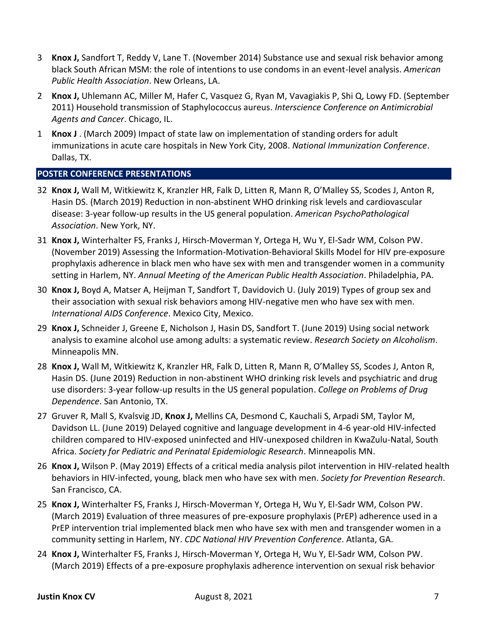- 3 **Knox J,** Sandfort T, Reddy V, Lane T. (November 2014) Substance use and sexual risk behavior among black South African MSM: the role of intentions to use condoms in an event-level analysis. *American Public Health Association*. New Orleans, LA.
- 2 **Knox J,** Uhlemann AC, Miller M, Hafer C, Vasquez G, Ryan M, Vavagiakis P, Shi Q, Lowy FD. (September 2011) Household transmission of Staphylococcus aureus. *Interscience Conference on Antimicrobial Agents and Cancer*. Chicago, IL.
- 1 **Knox J** . (March 2009) Impact of state law on implementation of standing orders for adult immunizations in acute care hospitals in New York City, 2008. *National Immunization Conference*. Dallas, TX.

#### **POSTER CONFERENCE PRESENTATIONS**

- 32 **Knox J,** Wall M, Witkiewitz K, Kranzler HR, Falk D, Litten R, Mann R, O'Malley SS, Scodes J, Anton R, Hasin DS. (March 2019) Reduction in non-abstinent WHO drinking risk levels and cardiovascular disease: 3-year follow-up results in the US general population. *American PsychoPathological Association*. New York, NY.
- 31 **Knox J,** Winterhalter FS, Franks J, Hirsch-Moverman Y, Ortega H, Wu Y, El-Sadr WM, Colson PW. (November 2019) Assessing the Information-Motivation-Behavioral Skills Model for HIV pre-exposure prophylaxis adherence in black men who have sex with men and transgender women in a community setting in Harlem, NY. *Annual Meeting of the American Public Health Association*. Philadelphia, PA.
- 30 **Knox J,** Boyd A, Matser A, Heijman T, Sandfort T, Davidovich U. (July 2019) Types of group sex and their association with sexual risk behaviors among HIV-negative men who have sex with men. *International AIDS Conference*. Mexico City, Mexico.
- 29 **Knox J,** Schneider J, Greene E, Nicholson J, Hasin DS, Sandfort T. (June 2019) Using social network analysis to examine alcohol use among adults: a systematic review. *Research Society on Alcoholism*. Minneapolis MN.
- 28 **Knox J,** Wall M, Witkiewitz K, Kranzler HR, Falk D, Litten R, Mann R, O'Malley SS, Scodes J, Anton R, Hasin DS. (June 2019) Reduction in non-abstinent WHO drinking risk levels and psychiatric and drug use disorders: 3-year follow-up results in the US general population. *College on Problems of Drug Dependence*. San Antonio, TX.
- 27 Gruver R, Mall S, Kvalsvig JD, **Knox J,** Mellins CA, Desmond C, Kauchali S, Arpadi SM, Taylor M, Davidson LL. (June 2019) Delayed cognitive and language development in 4-6 year-old HIV-infected children compared to HIV-exposed uninfected and HIV-unexposed children in KwaZulu-Natal, South Africa. *Society for Pediatric and Perinatal Epidemiologic Research*. Minneapolis MN.
- 26 **Knox J,** Wilson P. (May 2019) Effects of a critical media analysis pilot intervention in HIV-related health behaviors in HIV-infected, young, black men who have sex with men. *Society for Prevention Research*. San Francisco, CA.
- 25 **Knox J,** Winterhalter FS, Franks J, Hirsch-Moverman Y, Ortega H, Wu Y, El-Sadr WM, Colson PW. (March 2019) Evaluation of three measures of pre-exposure prophylaxis (PrEP) adherence used in a PrEP intervention trial implemented black men who have sex with men and transgender women in a community setting in Harlem, NY. *CDC National HIV Prevention Conference*. Atlanta, GA.
- 24 **Knox J,** Winterhalter FS, Franks J, Hirsch-Moverman Y, Ortega H, Wu Y, El-Sadr WM, Colson PW. (March 2019) Effects of a pre-exposure prophylaxis adherence intervention on sexual risk behavior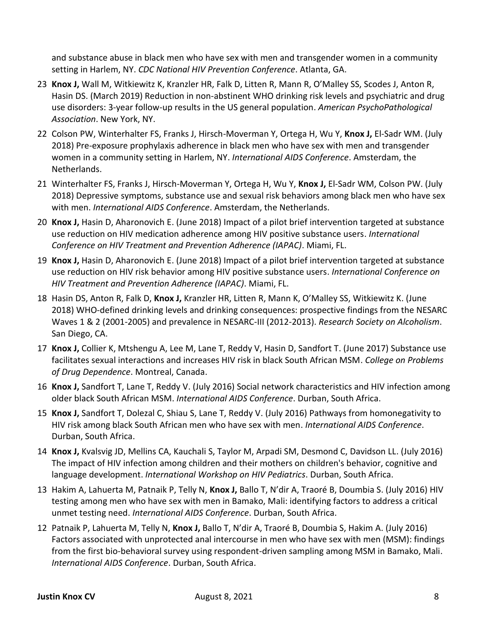and substance abuse in black men who have sex with men and transgender women in a community setting in Harlem, NY. *CDC National HIV Prevention Conference*. Atlanta, GA.

- 23 **Knox J,** Wall M, Witkiewitz K, Kranzler HR, Falk D, Litten R, Mann R, O'Malley SS, Scodes J, Anton R, Hasin DS. (March 2019) Reduction in non-abstinent WHO drinking risk levels and psychiatric and drug use disorders: 3-year follow-up results in the US general population. *American PsychoPathological Association*. New York, NY.
- 22 Colson PW, Winterhalter FS, Franks J, Hirsch-Moverman Y, Ortega H, Wu Y, **Knox J,** El-Sadr WM. (July 2018) Pre-exposure prophylaxis adherence in black men who have sex with men and transgender women in a community setting in Harlem, NY. *International AIDS Conference*. Amsterdam, the Netherlands.
- 21 Winterhalter FS, Franks J, Hirsch-Moverman Y, Ortega H, Wu Y, **Knox J,** El-Sadr WM, Colson PW. (July 2018) Depressive symptoms, substance use and sexual risk behaviors among black men who have sex with men. *International AIDS Conference*. Amsterdam, the Netherlands.
- 20 **Knox J,** Hasin D, Aharonovich E. (June 2018) Impact of a pilot brief intervention targeted at substance use reduction on HIV medication adherence among HIV positive substance users. *International Conference on HIV Treatment and Prevention Adherence (IAPAC)*. Miami, FL.
- 19 **Knox J,** Hasin D, Aharonovich E. (June 2018) Impact of a pilot brief intervention targeted at substance use reduction on HIV risk behavior among HIV positive substance users. *International Conference on HIV Treatment and Prevention Adherence (IAPAC)*. Miami, FL.
- 18 Hasin DS, Anton R, Falk D, **Knox J,** Kranzler HR, Litten R, Mann K, O'Malley SS, Witkiewitz K. (June 2018) WHO-defined drinking levels and drinking consequences: prospective findings from the NESARC Waves 1 & 2 (2001-2005) and prevalence in NESARC-III (2012-2013). *Research Society on Alcoholism*. San Diego, CA.
- 17 **Knox J,** Collier K, Mtshengu A, Lee M, Lane T, Reddy V, Hasin D, Sandfort T. (June 2017) Substance use facilitates sexual interactions and increases HIV risk in black South African MSM. *College on Problems of Drug Dependence*. Montreal, Canada.
- 16 **Knox J,** Sandfort T, Lane T, Reddy V. (July 2016) Social network characteristics and HIV infection among older black South African MSM. *International AIDS Conference*. Durban, South Africa.
- 15 **Knox J,** Sandfort T, Dolezal C, Shiau S, Lane T, Reddy V. (July 2016) Pathways from homonegativity to HIV risk among black South African men who have sex with men. *International AIDS Conference*. Durban, South Africa.
- 14 **Knox J,** Kvalsvig JD, Mellins CA, Kauchali S, Taylor M, Arpadi SM, Desmond C, Davidson LL. (July 2016) The impact of HIV infection among children and their mothers on children's behavior, cognitive and language development. *International Workshop on HIV Pediatrics*. Durban, South Africa.
- 13 Hakim A, Lahuerta M, Patnaik P, Telly N, **Knox J,** Ballo T, N'dir A, Traoré B, Doumbia S. (July 2016) HIV testing among men who have sex with men in Bamako, Mali: identifying factors to address a critical unmet testing need. *International AIDS Conference*. Durban, South Africa.
- 12 Patnaik P, Lahuerta M, Telly N, **Knox J,** Ballo T, N'dir A, Traoré B, Doumbia S, Hakim A. (July 2016) Factors associated with unprotected anal intercourse in men who have sex with men (MSM): findings from the first bio-behavioral survey using respondent-driven sampling among MSM in Bamako, Mali. *International AIDS Conference*. Durban, South Africa.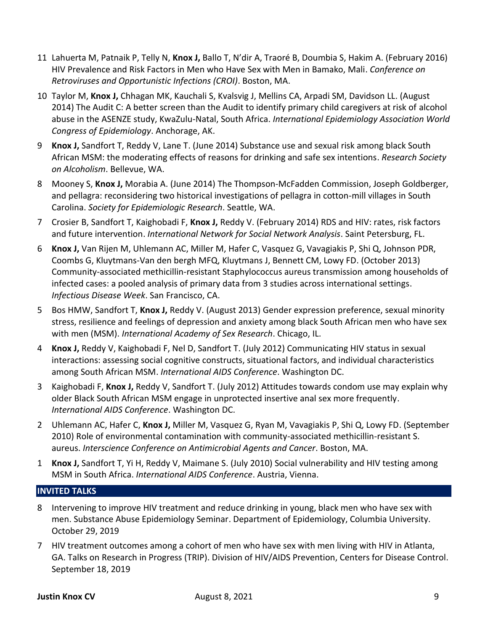- 11 Lahuerta M, Patnaik P, Telly N, **Knox J,** Ballo T, N'dir A, Traoré B, Doumbia S, Hakim A. (February 2016) HIV Prevalence and Risk Factors in Men who Have Sex with Men in Bamako, Mali. *Conference on Retroviruses and Opportunistic Infections (CROI)*. Boston, MA.
- 10 Taylor M, **Knox J,** Chhagan MK, Kauchali S, Kvalsvig J, Mellins CA, Arpadi SM, Davidson LL. (August 2014) The Audit C: A better screen than the Audit to identify primary child caregivers at risk of alcohol abuse in the ASENZE study, KwaZulu-Natal, South Africa. *International Epidemiology Association World Congress of Epidemiology*. Anchorage, AK.
- 9 **Knox J,** Sandfort T, Reddy V, Lane T. (June 2014) Substance use and sexual risk among black South African MSM: the moderating effects of reasons for drinking and safe sex intentions. *Research Society on Alcoholism*. Bellevue, WA.
- 8 Mooney S, **Knox J,** Morabia A. (June 2014) The Thompson-McFadden Commission, Joseph Goldberger, and pellagra: reconsidering two historical investigations of pellagra in cotton-mill villages in South Carolina. *Society for Epidemiologic Research*. Seattle, WA.
- 7 Crosier B, Sandfort T, Kaighobadi F, **Knox J,** Reddy V. (February 2014) RDS and HIV: rates, risk factors and future intervention. *International Network for Social Network Analysis*. Saint Petersburg, FL.
- 6 **Knox J,** Van Rijen M, Uhlemann AC, Miller M, Hafer C, Vasquez G, Vavagiakis P, Shi Q, Johnson PDR, Coombs G, Kluytmans-Van den bergh MFQ, Kluytmans J, Bennett CM, Lowy FD. (October 2013) Community-associated methicillin-resistant Staphylococcus aureus transmission among households of infected cases: a pooled analysis of primary data from 3 studies across international settings. *Infectious Disease Week*. San Francisco, CA.
- 5 Bos HMW, Sandfort T, **Knox J,** Reddy V. (August 2013) Gender expression preference, sexual minority stress, resilience and feelings of depression and anxiety among black South African men who have sex with men (MSM). *International Academy of Sex Research*. Chicago, IL.
- 4 **Knox J,** Reddy V, Kaighobadi F, Nel D, Sandfort T. (July 2012) Communicating HIV status in sexual interactions: assessing social cognitive constructs, situational factors, and individual characteristics among South African MSM. *International AIDS Conference*. Washington DC.
- 3 Kaighobadi F, **Knox J,** Reddy V, Sandfort T. (July 2012) Attitudes towards condom use may explain why older Black South African MSM engage in unprotected insertive anal sex more frequently. *International AIDS Conference*. Washington DC.
- 2 Uhlemann AC, Hafer C, **Knox J,** Miller M, Vasquez G, Ryan M, Vavagiakis P, Shi Q, Lowy FD. (September 2010) Role of environmental contamination with community-associated methicillin-resistant S. aureus. *Interscience Conference on Antimicrobial Agents and Cancer*. Boston, MA.
- 1 **Knox J,** Sandfort T, Yi H, Reddy V, Maimane S. (July 2010) Social vulnerability and HIV testing among MSM in South Africa. *International AIDS Conference*. Austria, Vienna.

# **INVITED TALKS**

- 8 Intervening to improve HIV treatment and reduce drinking in young, black men who have sex with men. Substance Abuse Epidemiology Seminar. Department of Epidemiology, Columbia University. October 29, 2019
- 7 HIV treatment outcomes among a cohort of men who have sex with men living with HIV in Atlanta, GA. Talks on Research in Progress (TRIP). Division of HIV/AIDS Prevention, Centers for Disease Control. September 18, 2019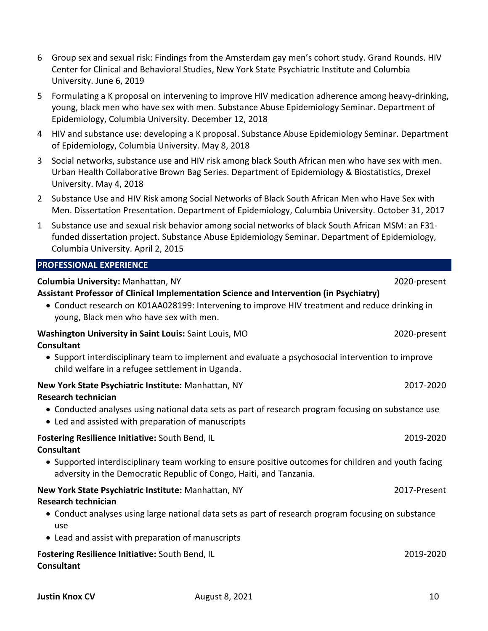- 6 Group sex and sexual risk: Findings from the Amsterdam gay men's cohort study. Grand Rounds. HIV Center for Clinical and Behavioral Studies, New York State Psychiatric Institute and Columbia University. June 6, 2019
- 5 Formulating a K proposal on intervening to improve HIV medication adherence among heavy-drinking, young, black men who have sex with men. Substance Abuse Epidemiology Seminar. Department of Epidemiology, Columbia University. December 12, 2018
- 4 HIV and substance use: developing a K proposal. Substance Abuse Epidemiology Seminar. Department of Epidemiology, Columbia University. May 8, 2018
- 3 Social networks, substance use and HIV risk among black South African men who have sex with men. Urban Health Collaborative Brown Bag Series. Department of Epidemiology & Biostatistics, Drexel University. May 4, 2018
- 2 Substance Use and HIV Risk among Social Networks of Black South African Men who Have Sex with Men. Dissertation Presentation. Department of Epidemiology, Columbia University. October 31, 2017
- 1 Substance use and sexual risk behavior among social networks of black South African MSM: an F31 funded dissertation project. Substance Abuse Epidemiology Seminar. Department of Epidemiology, Columbia University. April 2, 2015

# **PROFESSIONAL EXPERIENCE**

| Columbia University: Manhattan, NY<br>Assistant Professor of Clinical Implementation Science and Intervention (in Psychiatry)                                               | 2020-present |
|-----------------------------------------------------------------------------------------------------------------------------------------------------------------------------|--------------|
| • Conduct research on K01AA028199: Intervening to improve HIV treatment and reduce drinking in<br>young, Black men who have sex with men.                                   |              |
| Washington University in Saint Louis: Saint Louis, MO<br><b>Consultant</b>                                                                                                  | 2020-present |
| • Support interdisciplinary team to implement and evaluate a psychosocial intervention to improve<br>child welfare in a refugee settlement in Uganda.                       |              |
| New York State Psychiatric Institute: Manhattan, NY<br><b>Research technician</b>                                                                                           | 2017-2020    |
| • Conducted analyses using national data sets as part of research program focusing on substance use<br>• Led and assisted with preparation of manuscripts                   |              |
| Fostering Resilience Initiative: South Bend, IL<br><b>Consultant</b>                                                                                                        | 2019-2020    |
| • Supported interdisciplinary team working to ensure positive outcomes for children and youth facing<br>adversity in the Democratic Republic of Congo, Haiti, and Tanzania. |              |
| New York State Psychiatric Institute: Manhattan, NY                                                                                                                         | 2017-Present |
| <b>Research technician</b><br>• Conduct analyses using large national data sets as part of research program focusing on substance<br>use                                    |              |
| • Lead and assist with preparation of manuscripts                                                                                                                           |              |
| Fostering Resilience Initiative: South Bend, IL<br><b>Consultant</b>                                                                                                        | 2019-2020    |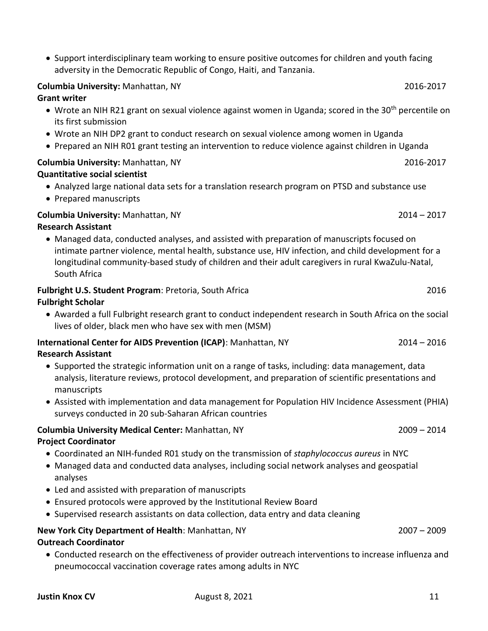• Support interdisciplinary team working to ensure positive outcomes for children and youth facing adversity in the Democratic Republic of Congo, Haiti, and Tanzania.

#### **Columbia University:** Manhattan, NY 2016-2017

#### **Grant writer**

- Wrote an NIH R21 grant on sexual violence against women in Uganda; scored in the  $30<sup>th</sup>$  percentile on its first submission
- Wrote an NIH DP2 grant to conduct research on sexual violence among women in Uganda
- Prepared an NIH R01 grant testing an intervention to reduce violence against children in Uganda

# **Columbia University:** Manhattan, NY 2016-2017

# **Quantitative social scientist**

- Analyzed large national data sets for a translation research program on PTSD and substance use
- Prepared manuscripts

# **Columbia University:** Manhattan, NY 2014 – 2017

# **Research Assistant**

• Managed data, conducted analyses, and assisted with preparation of manuscripts focused on intimate partner violence, mental health, substance use, HIV infection, and child development for a longitudinal community-based study of children and their adult caregivers in rural KwaZulu-Natal, South Africa

# **Fulbright U.S. Student Program**: Pretoria, South Africa 2016

# **Fulbright Scholar**

• Awarded a full Fulbright research grant to conduct independent research in South Africa on the social lives of older, black men who have sex with men (MSM)

#### **International Center for AIDS Prevention (ICAP)**: Manhattan, NY 2014 – 2014 – 2016 **Research Assistant**

- Supported the strategic information unit on a range of tasks, including: data management, data analysis, literature reviews, protocol development, and preparation of scientific presentations and manuscripts
- Assisted with implementation and data management for Population HIV Incidence Assessment (PHIA) surveys conducted in 20 sub-Saharan African countries

# **Columbia University Medical Center:** Manhattan, NY 2009 – 2014 **Project Coordinator**

- Coordinated an NIH-funded R01 study on the transmission of *staphylococcus aureus* in NYC
- Managed data and conducted data analyses, including social network analyses and geospatial analyses
- Led and assisted with preparation of manuscripts
- Ensured protocols were approved by the Institutional Review Board
- Supervised research assistants on data collection, data entry and data cleaning

# **New York City Department of Health**: Manhattan, NY 2007 – 2009

# **Outreach Coordinator**

• Conducted research on the effectiveness of provider outreach interventions to increase influenza and pneumococcal vaccination coverage rates among adults in NYC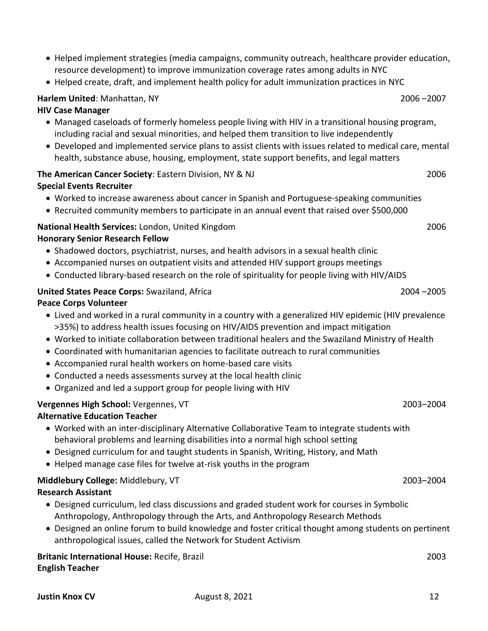- Helped implement strategies (media campaigns, community outreach, healthcare provider education, resource development) to improve immunization coverage rates among adults in NYC
- Helped create, draft, and implement health policy for adult immunization practices in NYC

# **Harlem United**: Manhattan, NY 2006 –2007

# **HIV Case Manager**

- Managed caseloads of formerly homeless people living with HIV in a transitional housing program, including racial and sexual minorities, and helped them transition to live independently
- Developed and implemented service plans to assist clients with issues related to medical care, mental health, substance abuse, housing, employment, state support benefits, and legal matters

# **The American Cancer Society**: Eastern Division, NY & NJ 2006

# **Special Events Recruiter**

- Worked to increase awareness about cancer in Spanish and Portuguese-speaking communities
- Recruited community members to participate in an annual event that raised over \$500,000

# **National Health Services:** London, United Kingdom 2006

# **Honorary Senior Research Fellow**

- Shadowed doctors, psychiatrist, nurses, and health advisors in a sexual health clinic
- Accompanied nurses on outpatient visits and attended HIV support groups meetings
- Conducted library-based research on the role of spirituality for people living with HIV/AIDS

# **United States Peace Corps:** Swaziland, Africa 2004 –2005

# **Peace Corps Volunteer**

- Lived and worked in a rural community in a country with a generalized HIV epidemic (HIV prevalence >35%) to address health issues focusing on HIV/AIDS prevention and impact mitigation
- Worked to initiate collaboration between traditional healers and the Swaziland Ministry of Health
- Coordinated with humanitarian agencies to facilitate outreach to rural communities
- Accompanied rural health workers on home-based care visits
- Conducted a needs assessments survey at the local health clinic
- Organized and led a support group for people living with HIV

# **Vergennes High School:** Vergennes, VT 2003–2004

# **Alternative Education Teacher**

- Worked with an inter-disciplinary Alternative Collaborative Team to integrate students with behavioral problems and learning disabilities into a normal high school setting
- Designed curriculum for and taught students in Spanish, Writing, History, and Math
- Helped manage case files for twelve at-risk youths in the program

#### **Middlebury College:** Middlebury, VT 2003–2004 **Research Assistant**

- Designed curriculum, led class discussions and graded student work for courses in Symbolic Anthropology, Anthropology through the Arts, and Anthropology Research Methods
- Designed an online forum to build knowledge and foster critical thought among students on pertinent anthropological issues, called the Network for Student Activism

**Britanic International House:** Recife, Brazil 2003 **English Teacher**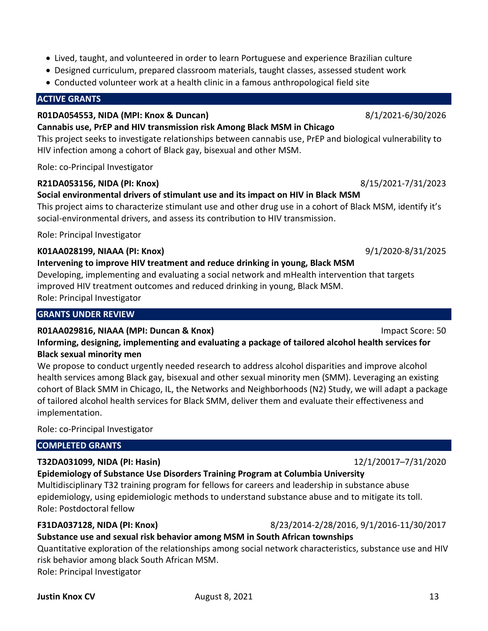- Lived, taught, and volunteered in order to learn Portuguese and experience Brazilian culture
- Designed curriculum, prepared classroom materials, taught classes, assessed student work
- Conducted volunteer work at a health clinic in a famous anthropological field site

# **ACTIVE GRANTS**

# **R01DA054553, NIDA (MPI: Knox & Duncan)** 8/1/2021-6/30/2026

**Cannabis use, PrEP and HIV transmission risk Among Black MSM in Chicago**

This project seeks to investigate relationships between cannabis use, PrEP and biological vulnerability to HIV infection among a cohort of Black gay, bisexual and other MSM.

Role: co-Principal Investigator

# **R21DA053156, NIDA (PI: Knox)** 8/15/2021-7/31/2023

**Social environmental drivers of stimulant use and its impact on HIV in Black MSM** This project aims to characterize stimulant use and other drug use in a cohort of Black MSM, identify it's social-environmental drivers, and assess its contribution to HIV transmission.

Role: Principal Investigator

# **K01AA028199, NIAAA (PI: Knox)** 9/1/2020-8/31/2025

# **Intervening to improve HIV treatment and reduce drinking in young, Black MSM**

Developing, implementing and evaluating a social network and mHealth intervention that targets improved HIV treatment outcomes and reduced drinking in young, Black MSM. Role: Principal Investigator

# **GRANTS UNDER REVIEW**

# **R01AA029816, NIAAA (MPI: Duncan & Knox)** Impact Score: 50

**Informing, designing, implementing and evaluating a package of tailored alcohol health services for Black sexual minority men**

We propose to conduct urgently needed research to address alcohol disparities and improve alcohol health services among Black gay, bisexual and other sexual minority men (SMM). Leveraging an existing cohort of Black SMM in Chicago, IL, the Networks and Neighborhoods (N2) Study, we will adapt a package of tailored alcohol health services for Black SMM, deliver them and evaluate their effectiveness and implementation.

Role: co-Principal Investigator

# **COMPLETED GRANTS**

# **T32DA031099, NIDA (PI: Hasin)** 12/1/20017–7/31/2020

# **Epidemiology of Substance Use Disorders Training Program at Columbia University**

Multidisciplinary T32 training program for fellows for careers and leadership in substance abuse epidemiology, using epidemiologic methods to understand substance abuse and to mitigate its toll. Role: Postdoctoral fellow

# **F31DA037128, NIDA (PI: Knox)** 8/23/2014-2/28/2016, 9/1/2016-11/30/2017

**Substance use and sexual risk behavior among MSM in South African townships**

Quantitative exploration of the relationships among social network characteristics, substance use and HIV risk behavior among black South African MSM. Role: Principal Investigator

# **Justin Knox CV COV COVERSITY August 8, 2021 13 13**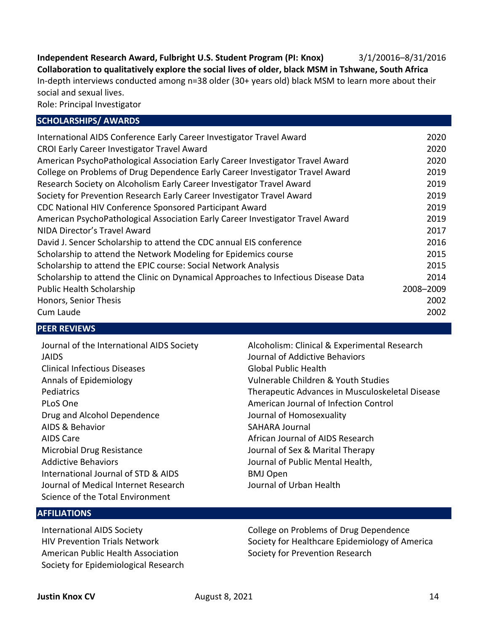**Independent Research Award, Fulbright U.S. Student Program (PI: Knox)** 3/1/20016–8/31/2016 **Collaboration to qualitatively explore the social lives of older, black MSM in Tshwane, South Africa** In-depth interviews conducted among n=38 older (30+ years old) black MSM to learn more about their social and sexual lives.

Role: Principal Investigator

#### **SCHOLARSHIPS/ AWARDS**

| International AIDS Conference Early Career Investigator Travel Award                | 2020      |
|-------------------------------------------------------------------------------------|-----------|
| CROI Early Career Investigator Travel Award                                         | 2020      |
| American PsychoPathological Association Early Career Investigator Travel Award      | 2020      |
| College on Problems of Drug Dependence Early Career Investigator Travel Award       | 2019      |
| Research Society on Alcoholism Early Career Investigator Travel Award               | 2019      |
| Society for Prevention Research Early Career Investigator Travel Award              | 2019      |
| CDC National HIV Conference Sponsored Participant Award                             | 2019      |
| American PsychoPathological Association Early Career Investigator Travel Award      | 2019      |
| NIDA Director's Travel Award                                                        | 2017      |
| David J. Sencer Scholarship to attend the CDC annual EIS conference                 | 2016      |
| Scholarship to attend the Network Modeling for Epidemics course                     | 2015      |
| Scholarship to attend the EPIC course: Social Network Analysis                      | 2015      |
| Scholarship to attend the Clinic on Dynamical Approaches to Infectious Disease Data | 2014      |
| <b>Public Health Scholarship</b>                                                    | 2008-2009 |
| Honors, Senior Thesis                                                               | 2002      |
| Cum Laude                                                                           | 2002      |
|                                                                                     |           |

#### **PEER REVIEWS**

| Journal of the International AIDS Society | Alcoholism: Clinical & Experimental Research    |
|-------------------------------------------|-------------------------------------------------|
| <b>JAIDS</b>                              | Journal of Addictive Behaviors                  |
| <b>Clinical Infectious Diseases</b>       | Global Public Health                            |
| Annals of Epidemiology                    | Vulnerable Children & Youth Studies             |
| <b>Pediatrics</b>                         | Therapeutic Advances in Musculoskeletal Disease |
| PLoS One                                  | American Journal of Infection Control           |
| Drug and Alcohol Dependence               | Journal of Homosexuality                        |
| AIDS & Behavior                           | <b>SAHARA Journal</b>                           |
| <b>AIDS Care</b>                          | African Journal of AIDS Research                |
| Microbial Drug Resistance                 | Journal of Sex & Marital Therapy                |
| <b>Addictive Behaviors</b>                | Journal of Public Mental Health,                |
| International Journal of STD & AIDS       | <b>BMJ Open</b>                                 |
| Journal of Medical Internet Research      | Journal of Urban Health                         |
| Science of the Total Environment          |                                                 |

# **AFFILIATIONS**

International AIDS Society HIV Prevention Trials Network American Public Health Association Society for Epidemiological Research

College on Problems of Drug Dependence Society for Healthcare Epidemiology of America Society for Prevention Research